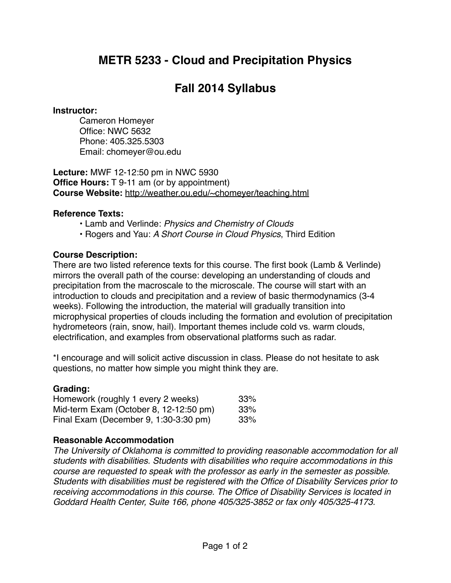## **METR 5233 - Cloud and Precipitation Physics**

# **Fall 2014 Syllabus**

#### **Instructor:**

Cameron Homeyer Office: NWC 5632 Phone: 405.325.5303 Email: [chomeyer@ou.edu](mailto:chomeyer@ou.edu)

**Lecture:** MWF 12-12:50 pm in NWC 5930 **Office Hours:** T 9-11 am (or by appointment) **Course Website:** <http://weather.ou.edu/~chomeyer/teaching.html>

#### **Reference Texts:**

- Lamb and Verlinde: *Physics and Chemistry of Clouds*
- Rogers and Yau: *A Short Course in Cloud Physics*, Third Edition

## **Course Description:**

There are two listed reference texts for this course. The first book (Lamb & Verlinde) mirrors the overall path of the course: developing an understanding of clouds and precipitation from the macroscale to the microscale. The course will start with an introduction to clouds and precipitation and a review of basic thermodynamics (3-4 weeks). Following the introduction, the material will gradually transition into microphysical properties of clouds including the formation and evolution of precipitation hydrometeors (rain, snow, hail). Important themes include cold vs. warm clouds, electrification, and examples from observational platforms such as radar.

\*I encourage and will solicit active discussion in class. Please do not hesitate to ask questions, no matter how simple you might think they are.

#### **Grading:**

| Homework (roughly 1 every 2 weeks)<br>Mid-term Exam (October 8, 12-12:50 pm)<br>Final Exam (December 9, 1:30-3:30 pm) | 33%        |  |
|-----------------------------------------------------------------------------------------------------------------------|------------|--|
|                                                                                                                       | 33%<br>33% |  |

## **Reasonable Accommodation**

*The University of Oklahoma is committed to providing reasonable accommodation for all students with disabilities. Students with disabilities who require accommodations in this course are requested to speak with the professor as early in the semester as possible. Students with disabilities must be registered with the Office of Disability Services prior to receiving accommodations in this course. The Office of Disability Services is located in Goddard Health Center, Suite 166, phone 405/325-3852 or fax only 405/325-4173.*